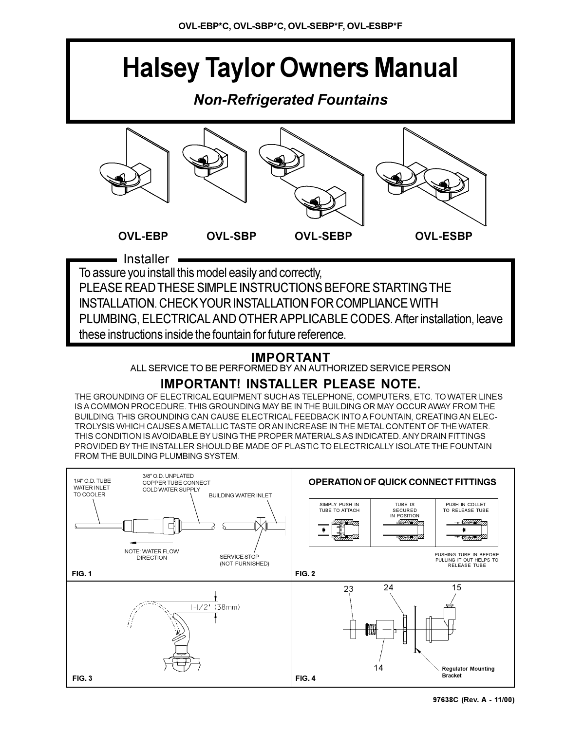# **Halsey Taylor Owners Manual**

# *Non-Refrigerated Fountains*



PLEASE READ THESE SIMPLE INSTRUCTIONS BEFORE STARTING THE INSTALLATION. CHECK YOUR INSTALLATION FOR COMPLIANCE WITH PLUMBING, ELECTRICAL AND OTHER APPLICABLE CODES. After installation, leave these instructions inside the fountain for future reference.

## **IMPORTANT**

ALL SERVICE TO BE PERFORMED BY AN AUTHORIZED SERVICE PERSON

## **IMPORTANT! INSTALLER PLEASE NOTE.**

THE GROUNDING OF ELECTRICAL EQUIPMENT SUCH AS TELEPHONE, COMPUTERS, ETC. TO WATER LINES IS A COMMON PROCEDURE. THIS GROUNDING MAY BE IN THE BUILDING OR MAY OCCUR AWAY FROM THE BUILDING. THIS GROUNDING CAN CAUSE ELECTRICAL FEEDBACK INTO A FOUNTAIN, CREATING AN ELEC-TROLYSIS WHICH CAUSES A METALLIC TASTE OR AN INCREASE IN THE METAL CONTENT OF THE WATER. THIS CONDITION IS AVOIDABLE BY USING THE PROPER MATERIALS AS INDICATED. ANY DRAIN FITTINGS PROVIDED BY THE INSTALLER SHOULD BE MADE OF PLASTIC TO ELECTRICALLY ISOLATE THE FOUNTAIN FROM THE BUILDING PLUMBING SYSTEM.

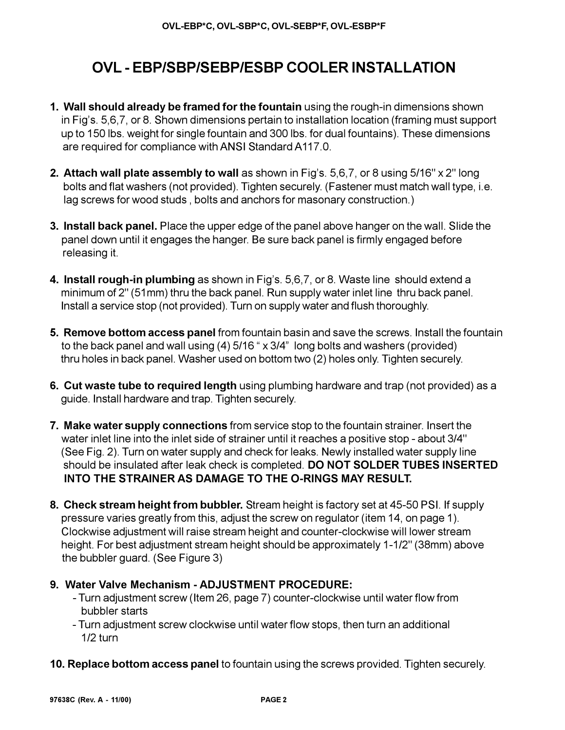# **OVL - EBP/SBP/SEBP/ESBP COOLER INSTALLATION**

- **1. Wall should already be framed for the fountain** using the rough-in dimensions shown in Fig's. 5,6,7, or 8. Shown dimensions pertain to installation location (framing must support up to 150 lbs. weight for single fountain and 300 lbs. for dual fountains). These dimensions are required for compliance with ANSI Standard A117.0.
- **2. Attach wall plate assembly to wall** as shown in Fig's. 5,6,7, or 8 using 5/16" x 2" long bolts and flat washers (not provided). Tighten securely. (Fastener must match wall type, i.e. lag screws for wood studs , bolts and anchors for masonary construction.)
- **3. Install back panel.** Place the upper edge of the panel above hanger on the wall. Slide the panel down until it engages the hanger. Be sure back panel is firmly engaged before releasing it.
- **4. Install rough-in plumbing** as shown in Fig's. 5,6,7, or 8. Waste line should extend a minimum of 2" (51mm) thru the back panel. Run supply water inlet line thru back panel. Install a service stop (not provided). Turn on supply water and flush thoroughly.
- **5. Remove bottom access panel** from fountain basin and save the screws. Install the fountain to the back panel and wall using  $(4)$  5/16  $\degree$  x 3/4" long bolts and washers (provided) thru holes in back panel. Washer used on bottom two (2) holes only. Tighten securely.
- **6. Cut waste tube to required length** using plumbing hardware and trap (not provided) as a guide. Install hardware and trap. Tighten securely.
- **7. Make water supply connections** from service stop to the fountain strainer. Insert the water inlet line into the inlet side of strainer until it reaches a positive stop - about 3/4" (See Fig. 2). Turn on water supply and check for leaks. Newly installed water supply line should be insulated after leak check is completed. **DO NOT SOLDER TUBES INSERTED INTO THE STRAINER AS DAMAGE TO THE O-RINGS MAY RESULT.**
- **8. Check stream height from bubbler.** Stream height is factory set at 45-50 PSI. If supply pressure varies greatly from this, adjust the screw on regulator (item 14, on page 1). Clockwise adjustment will raise stream height and counter-clockwise will lower stream height. For best adjustment stream height should be approximately 1-1/2" (38mm) above the bubbler guard. (See Figure 3)

### **9. Water Valve Mechanism - ADJUSTMENT PROCEDURE:**

- Turn adjustment screw (Item 26, page 7) counter-clockwise until water flow from bubbler starts
- Turn adjustment screw clockwise until water flow stops, then turn an additional 1/2 turn
- **10. Replace bottom access panel** to fountain using the screws provided. Tighten securely.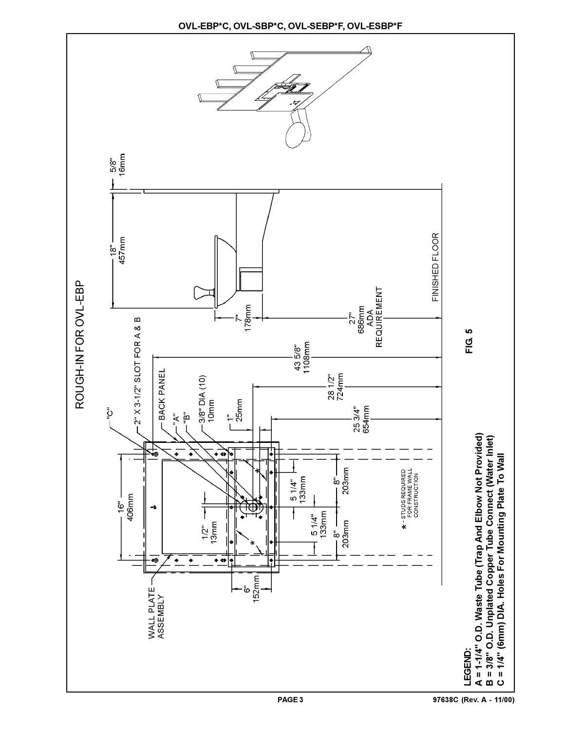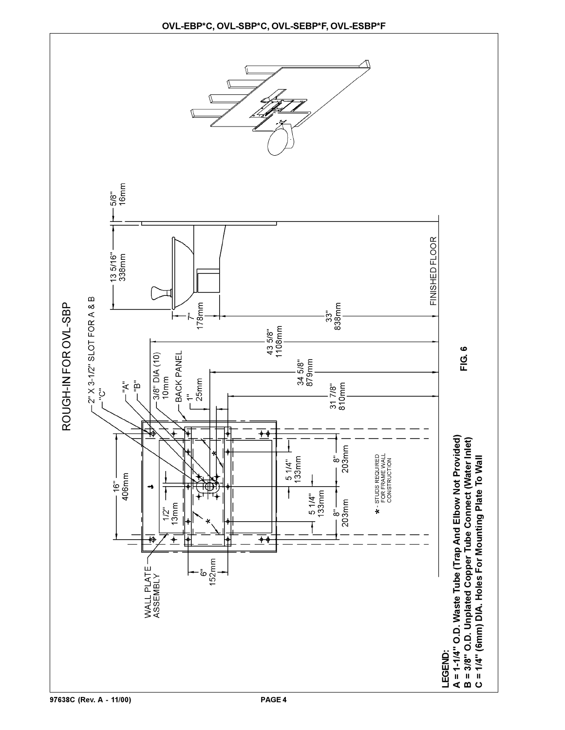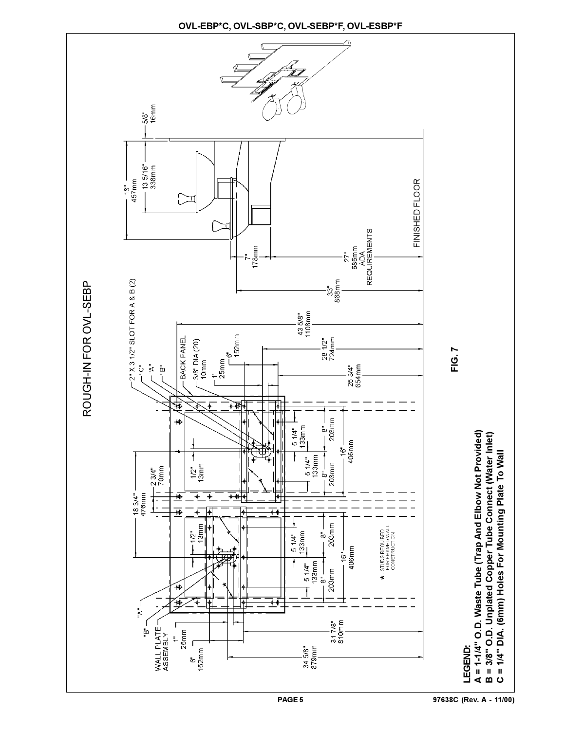

 $\frac{-18}{457}$ mm FINISHED FLOOR FINISHED FLOOR  $\begin{array}{c}\n 27^{\mathrm{u}}\\ 886\mathrm{mm}\\ \mathrm{AB6mm}\\ \mathrm{ADA}\\ \mathrm{REGUIREIMENTS}\end{array}$  $178$ mm  $33"$ <br>868mm  $2''$  X 3 1/2" SLOT FOR A & B (2) 43 5/8"<br>1108mm  $\begin{picture}(180,10) \put(0,0){\line(1,0){10}} \put(10,0){\line(1,0){10}} \put(10,0){\line(1,0){10}} \put(10,0){\line(1,0){10}} \put(10,0){\line(1,0){10}} \put(10,0){\line(1,0){10}} \put(10,0){\line(1,0){10}} \put(10,0){\line(1,0){10}} \put(10,0){\line(1,0){10}} \put(10,0){\line(1,0){10}} \put(10,0){\line(1,0){10}} \put(10,0){\line($  $-3/8$ " DIA (20)<br>10mm  $\frac{28}{724}$ mm - BACK PANEL ום<br>ו ו<br>ا 25 3/4"<br>654mm ڹٙٙ ₩ ♦  $-\frac{8}{203}$ mm  $\sharp$ 133mm  $51/4"$  $-16" -$ <br>406mm  $\begin{array}{c|c}\n5 & 1/4 \\
133 & m \\
8\n\end{array}$ 1  $1/2$  mm 203mm  $-2.3/4"$ <br>70mm  $183/4"$ <br>476mm F  $\overline{+}$ ≞  $\frac{1}{1}$  $\overline{\overline{1}}$  $\overline{\ast}$ ⊺∔ F  $\frac{8}{203}$ mm  $-1/2$ <sup>m</sup><br>13mm  $\star$  - STUDS REQUIRED<br>FOR FRAMED WALL<br>CONSTRUCTION  $51/4"$ 133mm 406mm  $\ddot{\theta}$  $51/4"$ <br>133mm 203mm  $\frac{1}{60}$ €

ROUGH-IN FOR OVL-SEBP

٣Ā.

–<br>"B"

WALL PLATE

 $\frac{1}{25}$ mm  $\sqrt{2}$ - ธิ" –<br>152mm

ROUGH-IN FOR OVL-SEBP

**FIG. 7**

A = 1-1/4" O.D. Waste Tube (Trap And Elbow Not Provided)<br>B = 3/8" O.D. Unplated Copper Tube Connect (Water Inlet) **A = 1-1/4" O.D. Waste Tube (Trap And Elbow Not Provided)** LEGEND: **LEGEND:**

**B = 3/8" O.D. Unplated Copper Tube Connect (Water Inlet) C = 1/4" DIA. (6mm) Holes For Mounting Plate To Wall**

= 1/4" DIA. (6mm) Holes For Mounting Plate To Wall

 $\mathbf{o}$ 

T

 $345/8"$ <br>879mm

 $31\overline{7}/8"$ <br>810mm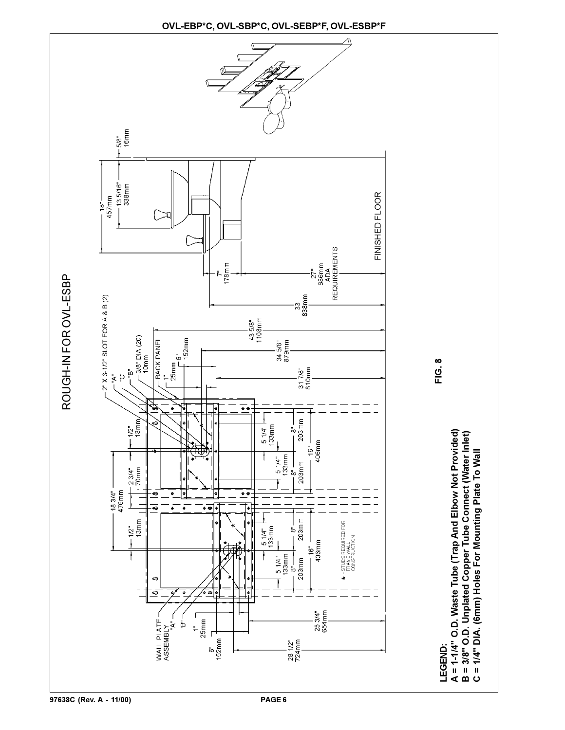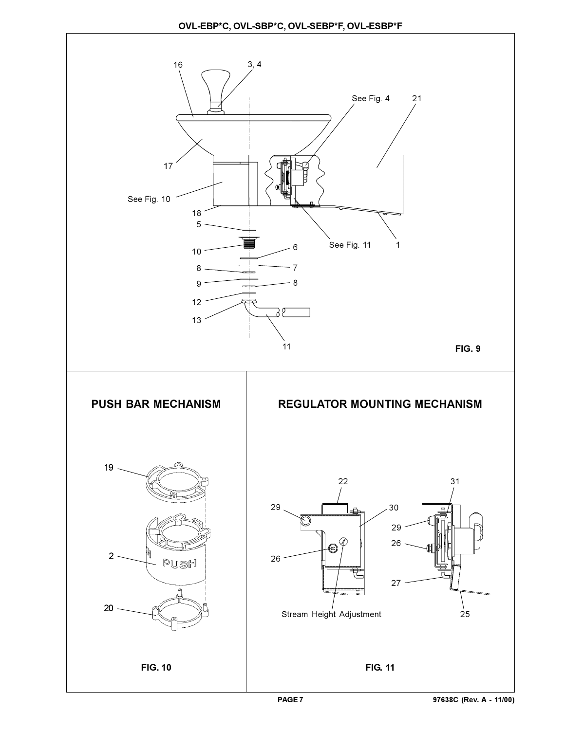